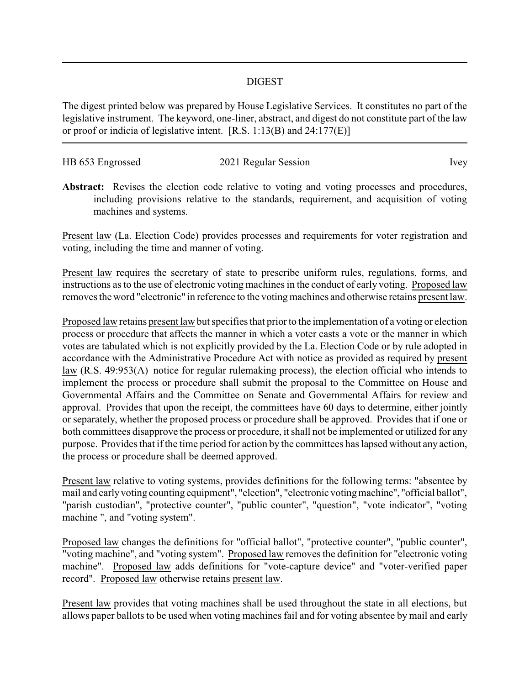## DIGEST

The digest printed below was prepared by House Legislative Services. It constitutes no part of the legislative instrument. The keyword, one-liner, abstract, and digest do not constitute part of the law or proof or indicia of legislative intent. [R.S. 1:13(B) and 24:177(E)]

| HB 653 Engrossed | 2021 Regular Session | lvev |
|------------------|----------------------|------|

Abstract: Revises the election code relative to voting and voting processes and procedures, including provisions relative to the standards, requirement, and acquisition of voting machines and systems.

Present law (La. Election Code) provides processes and requirements for voter registration and voting, including the time and manner of voting.

Present law requires the secretary of state to prescribe uniform rules, regulations, forms, and instructions as to the use of electronic voting machines in the conduct of early voting. Proposed law removes the word "electronic" in reference to the voting machines and otherwise retains present law.

Proposed law retains present law but specifies that prior to the implementation of a voting or election process or procedure that affects the manner in which a voter casts a vote or the manner in which votes are tabulated which is not explicitly provided by the La. Election Code or by rule adopted in accordance with the Administrative Procedure Act with notice as provided as required by present law (R.S. 49:953(A)–notice for regular rulemaking process), the election official who intends to implement the process or procedure shall submit the proposal to the Committee on House and Governmental Affairs and the Committee on Senate and Governmental Affairs for review and approval. Provides that upon the receipt, the committees have 60 days to determine, either jointly or separately, whether the proposed process or procedure shall be approved. Provides that if one or both committees disapprove the process or procedure, it shall not be implemented or utilized for any purpose. Provides that if the time period for action by the committees has lapsed without any action, the process or procedure shall be deemed approved.

Present law relative to voting systems, provides definitions for the following terms: "absentee by mail and earlyvoting counting equipment", "election", "electronic votingmachine", "official ballot", "parish custodian", "protective counter", "public counter", "question", "vote indicator", "voting machine ", and "voting system".

Proposed law changes the definitions for "official ballot", "protective counter", "public counter", "voting machine", and "voting system". Proposed law removes the definition for "electronic voting machine". Proposed law adds definitions for "vote-capture device" and "voter-verified paper record". Proposed law otherwise retains present law.

Present law provides that voting machines shall be used throughout the state in all elections, but allows paper ballots to be used when voting machines fail and for voting absentee by mail and early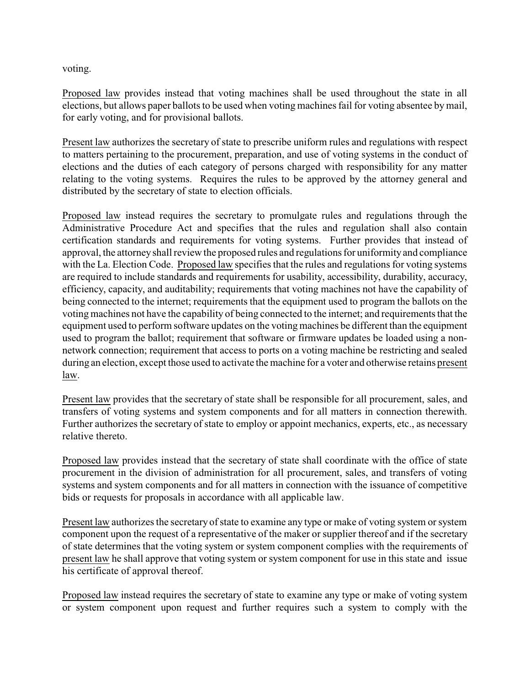voting.

Proposed law provides instead that voting machines shall be used throughout the state in all elections, but allows paper ballots to be used when voting machines fail for voting absentee by mail, for early voting, and for provisional ballots.

Present law authorizes the secretary of state to prescribe uniform rules and regulations with respect to matters pertaining to the procurement, preparation, and use of voting systems in the conduct of elections and the duties of each category of persons charged with responsibility for any matter relating to the voting systems. Requires the rules to be approved by the attorney general and distributed by the secretary of state to election officials.

Proposed law instead requires the secretary to promulgate rules and regulations through the Administrative Procedure Act and specifies that the rules and regulation shall also contain certification standards and requirements for voting systems. Further provides that instead of approval, the attorneyshall review the proposed rules and regulations for uniformity and compliance with the La. Election Code. Proposed law specifies that the rules and regulations for voting systems are required to include standards and requirements for usability, accessibility, durability, accuracy, efficiency, capacity, and auditability; requirements that voting machines not have the capability of being connected to the internet; requirements that the equipment used to program the ballots on the voting machines not have the capability of being connected to the internet; and requirements that the equipment used to perform software updates on the voting machines be different than the equipment used to program the ballot; requirement that software or firmware updates be loaded using a nonnetwork connection; requirement that access to ports on a voting machine be restricting and sealed during an election, except those used to activate the machine for a voter and otherwise retains present law.

Present law provides that the secretary of state shall be responsible for all procurement, sales, and transfers of voting systems and system components and for all matters in connection therewith. Further authorizes the secretary of state to employ or appoint mechanics, experts, etc., as necessary relative thereto.

Proposed law provides instead that the secretary of state shall coordinate with the office of state procurement in the division of administration for all procurement, sales, and transfers of voting systems and system components and for all matters in connection with the issuance of competitive bids or requests for proposals in accordance with all applicable law.

Present law authorizes the secretary of state to examine any type or make of voting system or system component upon the request of a representative of the maker or supplier thereof and if the secretary of state determines that the voting system or system component complies with the requirements of present law he shall approve that voting system or system component for use in this state and issue his certificate of approval thereof.

Proposed law instead requires the secretary of state to examine any type or make of voting system or system component upon request and further requires such a system to comply with the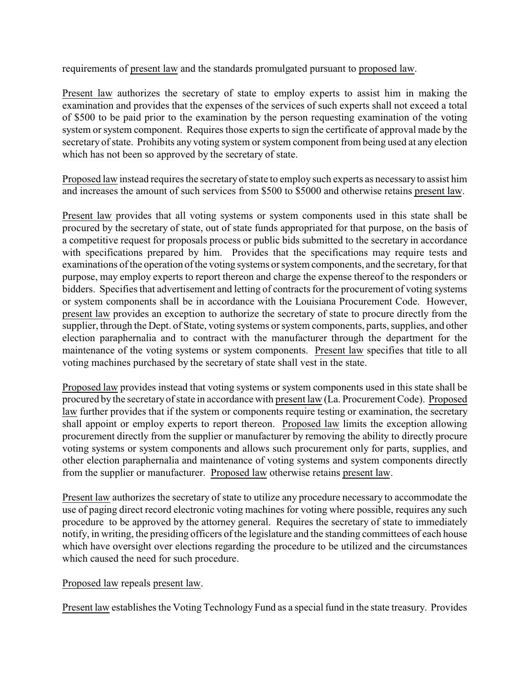requirements of present law and the standards promulgated pursuant to proposed law.

Present law authorizes the secretary of state to employ experts to assist him in making the examination and provides that the expenses of the services of such experts shall not exceed a total of \$500 to be paid prior to the examination by the person requesting examination of the voting system or system component. Requires those experts to sign the certificate of approval made by the secretary of state. Prohibits any voting system or system component from being used at any election which has not been so approved by the secretary of state.

Proposed law instead requires the secretaryof state to employ such experts as necessaryto assist him and increases the amount of such services from \$500 to \$5000 and otherwise retains present law.

Present law provides that all voting systems or system components used in this state shall be procured by the secretary of state, out of state funds appropriated for that purpose, on the basis of a competitive request for proposals process or public bids submitted to the secretary in accordance with specifications prepared by him. Provides that the specifications may require tests and examinations of the operation of the voting systems or system components, and the secretary, for that purpose, may employ experts to report thereon and charge the expense thereof to the responders or bidders. Specifies that advertisement and letting of contracts for the procurement of voting systems or system components shall be in accordance with the Louisiana Procurement Code. However, present law provides an exception to authorize the secretary of state to procure directly from the supplier, through the Dept. of State, voting systems or system components, parts, supplies, and other election paraphernalia and to contract with the manufacturer through the department for the maintenance of the voting systems or system components. Present law specifies that title to all voting machines purchased by the secretary of state shall vest in the state.

Proposed law provides instead that voting systems or system components used in this state shall be procured by the secretaryof state in accordance with present law (La. Procurement Code). Proposed law further provides that if the system or components require testing or examination, the secretary shall appoint or employ experts to report thereon. Proposed law limits the exception allowing procurement directly from the supplier or manufacturer by removing the ability to directly procure voting systems or system components and allows such procurement only for parts, supplies, and other election paraphernalia and maintenance of voting systems and system components directly from the supplier or manufacturer. Proposed law otherwise retains present law.

Present law authorizes the secretary of state to utilize any procedure necessary to accommodate the use of paging direct record electronic voting machines for voting where possible, requires any such procedure to be approved by the attorney general. Requires the secretary of state to immediately notify, in writing, the presiding officers of the legislature and the standing committees of each house which have oversight over elections regarding the procedure to be utilized and the circumstances which caused the need for such procedure.

Proposed law repeals present law.

Present law establishes the Voting Technology Fund as a special fund in the state treasury. Provides